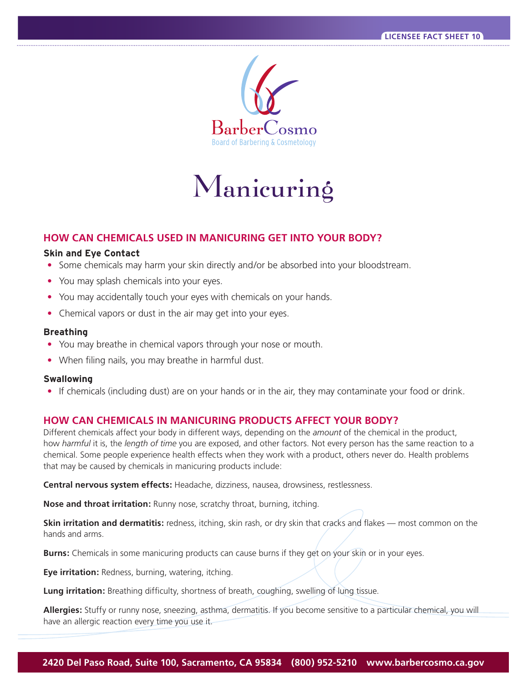

# Manicuring

# **HOW CAN CHEMICALS USED IN MANICURING GET INTO YOUR BODY?**

# **Skin and Eye Contact**

- Some chemicals may harm your skin directly and/or be absorbed into your bloodstream.
- You may splash chemicals into your eyes.
- You may accidentally touch your eyes with chemicals on your hands.
- Chemical vapors or dust in the air may get into your eyes.

## **Breathing**

- You may breathe in chemical vapors through your nose or mouth.
- When filing nails, you may breathe in harmful dust.

## **Swallowing**

**•** If chemicals (including dust) are on your hands or in the air, they may contaminate your food or drink.

# **HOW CAN CHEMICALS IN MANICURING PRODUCTS AFFECT YOUR BODY?**

Different chemicals affect your body in different ways, depending on the *amount* of the chemical in the product, how *harmful* it is, the *length of time* you are exposed, and other factors. Not every person has the same reaction to a chemical. Some people experience health effects when they work with a product, others never do. Health problems that may be caused by chemicals in manicuring products include:

**Central nervous system effects:** Headache, dizziness, nausea, drowsiness, restlessness.

**Nose and throat irritation:** Runny nose, scratchy throat, burning, itching.

**Skin irritation and dermatitis:** redness, itching, skin rash, or dry skin that cracks and flakes — most common on the hands and arms.

**Burns:** Chemicals in some manicuring products can cause burns if they get on your skin or in your eyes.

**Eye irritation:** Redness, burning, watering, itching.

**Lung irritation:** Breathing difficulty, shortness of breath, coughing, swelling of lung tissue.

**Allergies:** Stuffy or runny nose, sneezing, asthma, dermatitis. If you become sensitive to a particular chemical, you will have an allergic reaction every time you use it.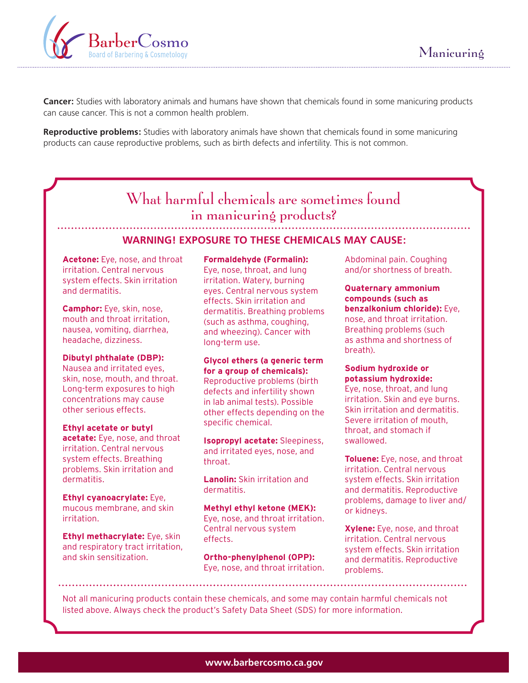

**Cancer:** Studies with laboratory animals and humans have shown that chemicals found in some manicuring products can cause cancer. This is not a common health problem.

 **Reproductive problems:** Studies with laboratory animals have shown that chemicals found in some manicuring products can cause reproductive problems, such as birth defects and infertility. This is not common.

# What harmful chemicals are sometimes found in manicuring products?

# **WARNING! EXPOSURE TO THESE CHEMICALS MAY CAUSE:**

**Acetone:** Eye, nose, and throat irritation. Central nervous system effects. Skin irritation and dermatitis.

**Camphor:** Eye, skin, nose, mouth and throat irritation, nausea, vomiting, diarrhea, headache, dizziness.

#### **Dibutyl phthalate (DBP):**

Nausea and irritated eyes, skin, nose, mouth, and throat. Long-term exposures to high concentrations may cause other serious effects.

#### **Ethyl acetate or butyl**

**acetate:** Eye, nose, and throat irritation. Central nervous system effects. Breathing problems. Skin irritation and dermatitis.

**Ethyl cyanoacrylate:** Eye, mucous membrane, and skin irritation.

**Ethyl methacrylate:** Eye, skin and respiratory tract irritation, and skin sensitization.

#### **Formaldehyde (Formalin):**

Eye, nose, throat, and lung irritation. Watery, burning eyes. Central nervous system effects. Skin irritation and dermatitis. Breathing problems (such as asthma, coughing, and wheezing). Cancer with long-term use.

#### **Glycol ethers (a generic term for a group of chemicals):**

Reproductive problems (birth defects and infertility shown in lab animal tests). Possible other effects depending on the specific chemical.

**Isopropyl acetate:** Sleepiness, and irritated eyes, nose, and throat.

**Lanolin:** Skin irritation and dermatitis.

**Methyl ethyl ketone (MEK):**  Eye, nose, and throat irritation. Central nervous system effects.

**Ortho-phenylphenol (OPP):**  Eye, nose, and throat irritation. Abdominal pain. Coughing and/or shortness of breath.

**Quaternary ammonium compounds (such as benzalkonium chloride):** Eye, nose, and throat irritation. Breathing problems (such as asthma and shortness of breath).

#### **Sodium hydroxide or potassium hydroxide:**

Eye, nose, throat, and lung irritation. Skin and eye burns. Skin irritation and dermatitis. Severe irritation of mouth, throat, and stomach if swallowed.

**Toluene:** Eye, nose, and throat irritation. Central nervous system effects. Skin irritation and dermatitis. Reproductive problems, damage to liver and/ or kidneys.

**Xylene:** Eye, nose, and throat irritation. Central nervous system effects. Skin irritation and dermatitis. Reproductive problems.

Not all manicuring products contain these chemicals, and some may contain harmful chemicals not listed above. Always check the product's Safety Data Sheet (SDS) for more information.